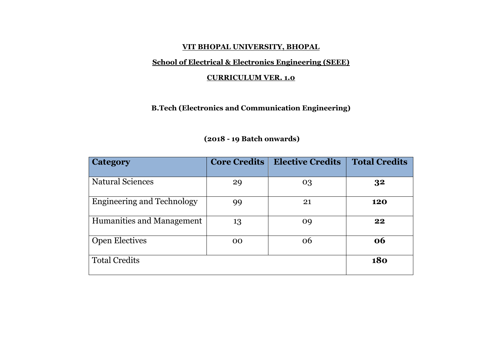#### **VIT BHOPAL UNIVERSITY, BHOPAL**

# **School of Electrical & Electronics Engineering (SEEE)**

### **CURRICULUM VER. 1.0**

# **B.Tech (Electronics and Communication Engineering)**

| <b>Category</b>            | <b>Core Credits</b> | <b>Elective Credits</b> | <b>Total Credits</b> |
|----------------------------|---------------------|-------------------------|----------------------|
| <b>Natural Sciences</b>    | 29                  | 03                      | 32                   |
| Engineering and Technology | 99                  | 21                      | 120                  |
| Humanities and Management  | 13                  | 09                      | 22                   |
| <b>Open Electives</b>      | 00                  | 06                      | 06                   |
| <b>Total Credits</b>       |                     |                         | <b>180</b>           |

### **(2018 - 19 Batch onwards)**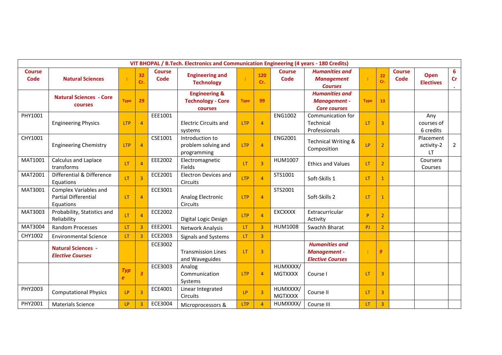|                       | VIT BHOPAL / B.Tech. Electronics and Communication Engineering (4 years - 180 Credits) |                         |                |                       |                                                                 |             |                |                              |                                                                  |             |                |                       |                                 |                               |
|-----------------------|----------------------------------------------------------------------------------------|-------------------------|----------------|-----------------------|-----------------------------------------------------------------|-------------|----------------|------------------------------|------------------------------------------------------------------|-------------|----------------|-----------------------|---------------------------------|-------------------------------|
| <b>Course</b><br>Code | <b>Natural Sciences</b>                                                                | ÷                       | 32<br>Cr.      | <b>Course</b><br>Code | <b>Engineering and</b><br><b>Technology</b>                     | ÷           | 120<br>Cr.     | <b>Course</b><br><b>Code</b> | <b>Humanities and</b><br><b>Management</b><br><b>Courses</b>     | ÷           | 22<br>Cr.      | <b>Course</b><br>Code | <b>Open</b><br><b>Electives</b> | 6<br><b>Cr</b><br>$\bullet$ . |
|                       | <b>Natural Sciences - Core</b><br><b>courses</b>                                       | <b>Type</b>             | 29             |                       | <b>Engineering &amp;</b><br><b>Technology - Core</b><br>courses | <b>Type</b> | 99             |                              | <b>Humanities and</b><br>Management -<br><b>Core courses</b>     | <b>Type</b> | 13             |                       |                                 |                               |
| PHY1001               | <b>Engineering Physics</b>                                                             | <b>LTP</b>              | $\overline{4}$ | EEE1001               | <b>Electric Circuits and</b><br>systems                         | <b>LTP</b>  | $\overline{4}$ | ENG1002                      | Communication for<br>Technical<br>Professionals                  | <b>LT</b>   | 3              |                       | Any<br>courses of<br>6 credits  |                               |
| CHY1001               | <b>Engineering Chemistry</b>                                                           | <b>LTP</b>              | $\overline{4}$ | CSE1001               | Introduction to<br>problem solving and<br>programming           | <b>LTP</b>  | 4              | ENG2001                      | Technical Writing &<br>Composition                               | LP          | $\overline{2}$ |                       | Placement<br>activity-2<br>LT   | $\overline{2}$                |
| MAT1001               | Calculus and Laplace<br>transforms                                                     | <b>LT</b>               | $\overline{4}$ | EEE2002               | Electromagnetic<br>Fields                                       | LT.         | $\overline{3}$ | HUM1007                      | <b>Ethics and Values</b>                                         | LT.         | $\overline{2}$ |                       | Coursera<br>Courses             |                               |
| MAT2001               | Differential & Difference<br>Equations                                                 | <b>IT</b>               | $\overline{3}$ | ECE2001               | <b>Electron Devices and</b><br>Circuits                         | <b>LTP</b>  | $\overline{4}$ | STS1001                      | Soft-Skills 1                                                    | <b>LT</b>   | $\mathbf{1}$   |                       |                                 |                               |
| MAT3001               | <b>Complex Variables and</b><br><b>Partial Differential</b><br>Equations               | LT                      | $\overline{4}$ | ECE3001               | Analog Electronic<br><b>Circuits</b>                            | <b>LTP</b>  | $\overline{4}$ | STS2001                      | Soft-Skills 2                                                    | LT.         | $\overline{1}$ |                       |                                 |                               |
| MAT3003               | Probability, Statistics and<br>Reliability                                             | LT.                     | $\overline{4}$ | <b>ECE2002</b>        | Digital Logic Design                                            | <b>LTP</b>  | $\overline{4}$ | <b>EXCXXXX</b>               | Extracurricular<br>Activity                                      | P           | $\overline{2}$ |                       |                                 |                               |
| MAT3004               | <b>Random Processes</b>                                                                | LT                      | 3              | EEE2001               | Network Analysis                                                | LT.         | $\overline{3}$ | HUM1008                      | Swachh Bharat                                                    | <b>PJ</b>   | $\overline{2}$ |                       |                                 |                               |
| CHY1002               | <b>Environmental Science</b>                                                           | <b>LT</b>               | $\overline{3}$ | <b>ECE2003</b>        | <b>Signals and Systems</b>                                      | LT.         | $\overline{3}$ |                              |                                                                  |             |                |                       |                                 |                               |
|                       | <b>Natural Sciences -</b><br><b>Elective Courses</b>                                   |                         |                | ECE3002               | <b>Transmission Lines</b><br>and Waveguides                     | <b>LT</b>   | 3              |                              | <b>Humanities and</b><br>Management -<br><b>Elective Courses</b> |             | 9              |                       |                                 |                               |
|                       |                                                                                        | Typ<br>$\boldsymbol{e}$ | $\mathbf{3}$   | ECE3003               | Analog<br>Communication<br>Systems                              | <b>LTP</b>  | $\overline{4}$ | HUMXXXX/<br><b>MGTXXXX</b>   | Course I                                                         | LT          | $\overline{3}$ |                       |                                 |                               |
| PHY2003               | <b>Computational Physics</b>                                                           | LP                      | $\overline{3}$ | ECE4001               | Linear Integrated<br>Circuits                                   | LP          | $\overline{3}$ | HUMXXXX/<br><b>MGTXXXX</b>   | Course II                                                        | LT.         | $\overline{3}$ |                       |                                 |                               |
| PHY2001               | <b>Materials Science</b>                                                               | LP                      | 3              | ECE3004               | Microprocessors &                                               | <b>LTP</b>  | $\overline{a}$ | HUMXXXX/                     | Course III                                                       | LT          | 3              |                       |                                 |                               |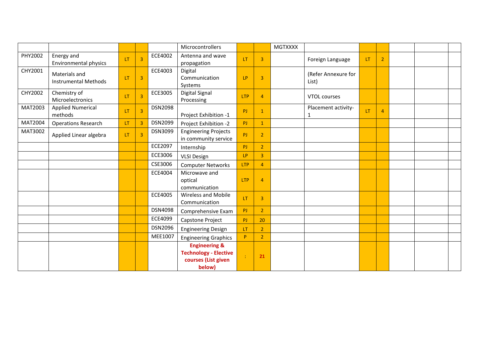|         |                                              |           |                |                | Microcontrollers                                                                          |            |                | <b>MGTXXXX</b> |                              |     |                |  |  |
|---------|----------------------------------------------|-----------|----------------|----------------|-------------------------------------------------------------------------------------------|------------|----------------|----------------|------------------------------|-----|----------------|--|--|
| PHY2002 | Energy and<br><b>Environmental physics</b>   | <b>LT</b> | $\overline{3}$ | ECE4002        | Antenna and wave<br>propagation                                                           | <b>LT</b>  | 3              |                | Foreign Language             | LT. | $\overline{2}$ |  |  |
| CHY2001 | Materials and<br><b>Instrumental Methods</b> | <b>LT</b> | $\overline{3}$ | ECE4003        | Digital<br>Communication<br>Systems                                                       | LP         | $\overline{3}$ |                | (Refer Annexure for<br>List) |     |                |  |  |
| CHY2002 | Chemistry of<br>Microelectronics             | <b>LT</b> | $\overline{3}$ | ECE3005        | Digital Signal<br>Processing                                                              | <b>LTP</b> | $\overline{4}$ |                | VTOL courses                 |     |                |  |  |
| MAT2003 | <b>Applied Numerical</b><br>methods          | LT.       | $\overline{3}$ | <b>DSN2098</b> | Project Exhibition -1                                                                     | PJ         | $\mathbf{1}$   |                | Placement activity-<br>1     | LT. | $\overline{4}$ |  |  |
| MAT2004 | <b>Operations Research</b>                   | LT.       | $\overline{3}$ | <b>DSN2099</b> | Project Exhibition -2                                                                     | PJ         | $\mathbf{1}$   |                |                              |     |                |  |  |
| MAT3002 | Applied Linear algebra                       | <b>LT</b> | $\overline{3}$ | DSN3099        | <b>Engineering Projects</b><br>in community service                                       | PJ         | $\overline{2}$ |                |                              |     |                |  |  |
|         |                                              |           |                | <b>ECE2097</b> | Internship                                                                                | PJ         | $\overline{2}$ |                |                              |     |                |  |  |
|         |                                              |           |                | ECE3006        | <b>VLSI Design</b>                                                                        | LP         | $\overline{3}$ |                |                              |     |                |  |  |
|         |                                              |           |                | CSE3006        | <b>Computer Networks</b>                                                                  | <b>LTP</b> | $\overline{4}$ |                |                              |     |                |  |  |
|         |                                              |           |                | ECE4004        | Microwave and<br>optical<br>communication                                                 | <b>LTP</b> | $\overline{4}$ |                |                              |     |                |  |  |
|         |                                              |           |                | ECE4005        | <b>Wireless and Mobile</b><br>Communication                                               | LT         | 3              |                |                              |     |                |  |  |
|         |                                              |           |                | <b>DSN4098</b> | Comprehensive Exam                                                                        | PJ         | $\overline{2}$ |                |                              |     |                |  |  |
|         |                                              |           |                | ECE4099        | Capstone Project                                                                          | PJ         | 20             |                |                              |     |                |  |  |
|         |                                              |           |                | <b>DSN2096</b> | <b>Engineering Design</b>                                                                 | <b>LT</b>  | $\overline{2}$ |                |                              |     |                |  |  |
|         |                                              |           |                | MEE1007        | <b>Engineering Graphics</b>                                                               | P          | $\overline{2}$ |                |                              |     |                |  |  |
|         |                                              |           |                |                | <b>Engineering &amp;</b><br><b>Technology - Elective</b><br>courses (List given<br>below) | ÷          | 21             |                |                              |     |                |  |  |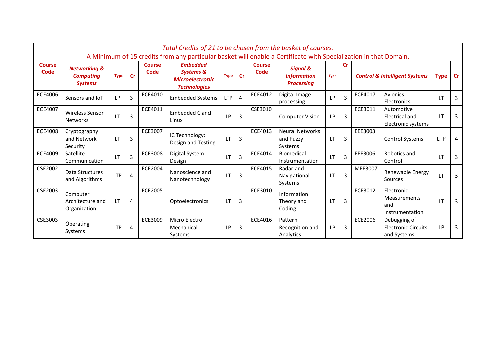|                | Total Credits of 21 to be chosen from the basket of courses.<br>A Minimum of 15 credits from any particular basket will enable a Certificate with Specialization in that Domain. |             |               |               |                                                                       |             |           |                |                                                                |             |                |         |                                                           |            |           |
|----------------|----------------------------------------------------------------------------------------------------------------------------------------------------------------------------------|-------------|---------------|---------------|-----------------------------------------------------------------------|-------------|-----------|----------------|----------------------------------------------------------------|-------------|----------------|---------|-----------------------------------------------------------|------------|-----------|
| <b>Course</b>  |                                                                                                                                                                                  |             |               | <b>Course</b> | <b>Embedded</b>                                                       |             |           | <b>Course</b>  |                                                                |             | <b>Cr</b>      |         |                                                           |            |           |
| Code           | <b>Networking &amp;</b><br><b>Computing</b><br><b>Systems</b>                                                                                                                    | <b>Type</b> | $\mathsf{Cr}$ | Code          | <b>Systems &amp;</b><br><b>Microelectronic</b><br><b>Technologies</b> | <b>Type</b> | <b>Cr</b> | Code           | <b>Signal &amp;</b><br><b>Information</b><br><b>Processing</b> | <b>Type</b> |                |         | <b>Control &amp; Intelligent Systems</b><br><b>Type</b>   |            | <b>Cr</b> |
| ECE4006        | Sensors and IoT                                                                                                                                                                  | LP          | 3             | ECE4010       | <b>Embedded Systems</b>                                               | LTP         | 4         | <b>ECE4012</b> | Digital Image<br>processing                                    | <b>LP</b>   | $\overline{3}$ | ECE4017 | Avionics<br>Electronics                                   | 1T         | 3         |
| ECE4007        | <b>Wireless Sensor</b><br><b>Networks</b>                                                                                                                                        | LT          | 3             | ECE4011       | Embedded C and<br>Linux                                               | <b>LP</b>   | 3         | CSE3010        | <b>Computer Vision</b>                                         | LP.         | $\overline{3}$ | ECE3011 | Automotive<br>Electrical and<br>Electronic systems        | <b>LT</b>  | 3         |
| <b>ECE4008</b> | Cryptography<br>and Network<br>Security                                                                                                                                          | LТ          | 3             | ECE3007       | IC Technology:<br>Design and Testing                                  | LT          | 3         | ECE4013        | <b>Neural Networks</b><br>and Fuzzy<br>Systems                 | <b>LT</b>   | 3              | EEE3003 | <b>Control Systems</b>                                    | <b>LTP</b> | 4         |
| <b>ECE4009</b> | Satellite<br>Communication                                                                                                                                                       | LT          | 3             | ECE3008       | Digital System<br>Design                                              | LT          | 3         | ECE4014        | <b>Biomedical</b><br>Instrumentation                           | <b>LT</b>   | $\overline{3}$ | EEE3006 | Robotics and<br>Control                                   | <b>LT</b>  | 3         |
| <b>CSE2002</b> | Data Structures<br>and Algorithms                                                                                                                                                | <b>LTP</b>  | 4             | ECE2004       | Nanoscience and<br>Nanotechnology                                     | LT          | 3         | ECE4015        | Radar and<br>Navigational<br>Systems                           | <b>LT</b>   | 3              | MEE3007 | Renewable Energy<br>Sources                               | LT         | 3         |
| CSE2003        | Computer<br>Architecture and<br>Organization                                                                                                                                     | LT          | 4             | ECE2005       | Optoelectronics                                                       | LT          | 3         | ECE3010        | Information<br>Theory and<br>Coding                            | LT          | 3              | ECE3012 | Electronic<br>Measurements<br>and<br>Instrumentation      | <b>LT</b>  | 3         |
| CSE3003        | Operating<br>Systems                                                                                                                                                             | <b>LTP</b>  | 4             | ECE3009       | Micro Electro<br>Mechanical<br>Systems                                | <b>LP</b>   | 3         | ECE4016        | Pattern<br>Recognition and<br>Analytics                        | <b>LP</b>   | 3              | ECE2006 | Debugging of<br><b>Electronic Circuits</b><br>and Systems | LP         | 3         |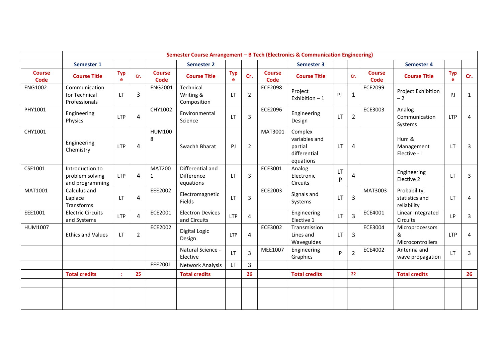|                              | Semester Course Arrangement - B Tech (Electronics & Communication Engineering) |                 |                |                              |                                             |                 |                |                              |                                                                  |           |                |                              |                                               |                 |                |
|------------------------------|--------------------------------------------------------------------------------|-----------------|----------------|------------------------------|---------------------------------------------|-----------------|----------------|------------------------------|------------------------------------------------------------------|-----------|----------------|------------------------------|-----------------------------------------------|-----------------|----------------|
|                              | Semester 1                                                                     |                 |                |                              | <b>Semester 2</b>                           |                 |                |                              | Semester 3                                                       |           |                |                              | <b>Semester 4</b>                             |                 |                |
| <b>Course</b><br><b>Code</b> | <b>Course Title</b>                                                            | <b>Typ</b><br>e | Cr.            | <b>Course</b><br><b>Code</b> | <b>Course Title</b>                         | <b>Typ</b><br>e | Cr.            | <b>Course</b><br><b>Code</b> | <b>Course Title</b>                                              |           | Cr.            | <b>Course</b><br><b>Code</b> | <b>Course Title</b>                           | <b>Typ</b><br>e | Cr.            |
| <b>ENG1002</b>               | Communication<br>for Technical<br>Professionals                                | <b>LT</b>       | 3              | <b>ENG2001</b>               | Technical<br>Writing &<br>Composition       | LT              | $\overline{2}$ | <b>ECE2098</b>               | Project<br>Exhibition $-1$                                       | PJ        | 1              | <b>ECE2099</b>               | Project Exhibition<br>$-2$                    | PJ              | 1              |
| PHY1001                      | Engineering<br>Physics                                                         | <b>LTP</b>      | 4              | CHY1002                      | Environmental<br>Science                    | LT              | 3              | <b>ECE2096</b>               | Engineering<br>Design                                            | <b>LT</b> | $\overline{2}$ | ECE3003                      | Analog<br>Communication<br>Systems            | <b>LTP</b>      | 4              |
| CHY1001                      | Engineering<br>Chemistry                                                       | <b>LTP</b>      | 4              | <b>HUM100</b><br>8           | Swachh Bharat                               | PJ.             | $\overline{2}$ | MAT3001                      | Complex<br>variables and<br>partial<br>differential<br>equations | <b>LT</b> | 4              |                              | Hum &<br>Management<br>Elective - I           | LT.             | 3              |
| CSE1001                      | Introduction to<br>problem solving<br>and programming                          | <b>LTP</b>      | $\overline{4}$ | <b>MAT200</b><br>1           | Differential and<br>Difference<br>equations | LT              | 3              | ECE3001                      | Analog<br>Electronic<br>Circuits                                 | LT<br>P   | 4              |                              | Engineering<br>Elective 2                     | LT              | 3              |
| MAT1001                      | Calculus and<br>Laplace<br>Transforms                                          | <b>LT</b>       | 4              | EEE2002                      | Electromagnetic<br>Fields                   | <b>LT</b>       | 3              | ECE2003                      | Signals and<br>Systems                                           | <b>LT</b> | 3              | MAT3003                      | Probability,<br>statistics and<br>reliability | LT              | 4              |
| EEE1001                      | <b>Electric Circuits</b><br>and Systems                                        | <b>LTP</b>      | 4              | ECE2001                      | <b>Electron Devices</b><br>and Circuits     | <b>LTP</b>      | $\overline{4}$ |                              | Engineering<br>Elective 1                                        | LT.       | $\overline{3}$ | ECE4001                      | Linear Integrated<br><b>Circuits</b>          | <b>LP</b>       | 3              |
| HUM1007                      | <b>Ethics and Values</b>                                                       | <b>LT</b>       | $\overline{2}$ | ECE2002                      | Digital Logic<br>Design                     | <b>LTP</b>      | $\overline{4}$ | ECE3002                      | Transmission<br>Lines and<br>Waveguides                          | LT.       | $\overline{3}$ | ECE3004                      | Microprocessors<br>&<br>Microcontrollers      | <b>LTP</b>      | $\overline{4}$ |
|                              |                                                                                |                 |                |                              | Natural Science -<br>Elective               | <b>LT</b>       | 3              | MEE1007                      | Engineering<br>Graphics                                          | P         | $\overline{2}$ | <b>ECE4002</b>               | Antenna and<br>wave propagation               | LT.             | 3              |
|                              |                                                                                |                 |                | EEE2001                      | Network Analysis                            | LT.             | 3              |                              |                                                                  |           |                |                              |                                               |                 |                |
|                              | <b>Total credits</b>                                                           |                 | 25             |                              | <b>Total credits</b>                        |                 | 26             |                              | <b>Total credits</b>                                             |           | 22             |                              | <b>Total credits</b>                          |                 | 26             |
|                              |                                                                                |                 |                |                              |                                             |                 |                |                              |                                                                  |           |                |                              |                                               |                 |                |
|                              |                                                                                |                 |                |                              |                                             |                 |                |                              |                                                                  |           |                |                              |                                               |                 |                |